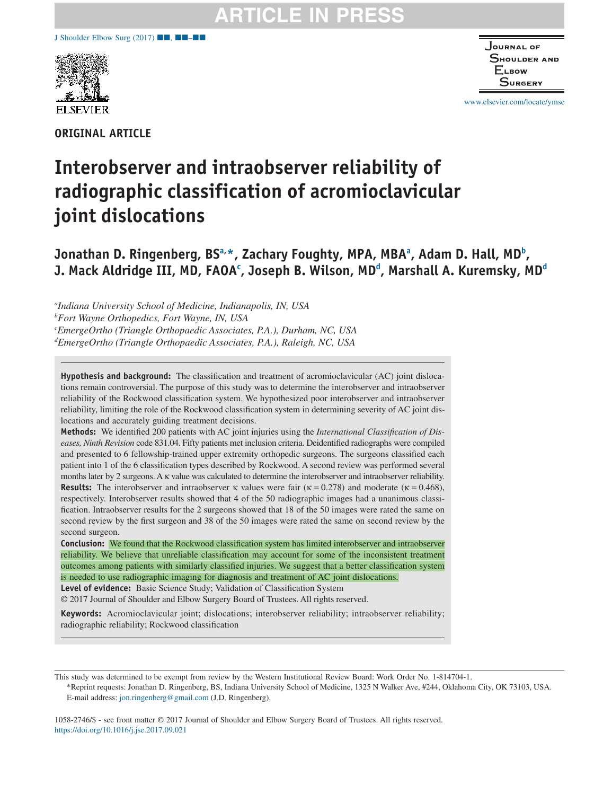**ARTICLE IN PRE** 



**ORIGINAL ARTICLE**

Journal of **SHOULDER AND ELBOW**  $\mathbf S$ urgery

[www.elsevier.com/locate/ymse](http://www.elsevier.com/locate/YMSE)

## **Interobserver and intraobserver reliability of radiographic classification of acromioclavicular joint dislocations**

## Jonathan D. Ringenberg, BSª<sup>,</sup>\*, Zachary Foughty, MPA, MBAª, Adam D. Hall, MDʰ,  ${\bf J.}$  Mack Aldridge III, MD, FAOA<sup>c</sup>, Joseph B. Wilson, MD<sup>d</sup>, Marshall A. Kuremsky, MD<sup>d</sup>

*a Indiana University School of Medicine, Indianapolis, IN, USA b Fort Wayne Orthopedics, Fort Wayne, IN, USA c EmergeOrtho (Triangle Orthopaedic Associates, P.A.), Durham, NC, USA d EmergeOrtho (Triangle Orthopaedic Associates, P.A.), Raleigh, NC, USA*

**Hypothesis and background:** The classification and treatment of acromioclavicular (AC) joint dislocations remain controversial. The purpose of this study was to determine the interobserver and intraobserver reliability of the Rockwood classification system. We hypothesized poor interobserver and intraobserver reliability, limiting the role of the Rockwood classification system in determining severity of AC joint dislocations and accurately guiding treatment decisions.

**Methods:** We identified 200 patients with AC joint injuries using the *International Classification of Diseases, Ninth Revision* code 831.04. Fifty patients met inclusion criteria. Deidentified radiographs were compiled and presented to 6 fellowship-trained upper extremity orthopedic surgeons. The surgeons classified each patient into 1 of the 6 classification types described by Rockwood. A second review was performed several months later by 2 surgeons. Aκ value was calculated to determine the interobserver and intraobserver reliability. **Results:** The interobserver and intraobserver κ values were fair ( $\kappa = 0.278$ ) and moderate ( $\kappa = 0.468$ ), respectively. Interobserver results showed that 4 of the 50 radiographic images had a unanimous classification. Intraobserver results for the 2 surgeons showed that 18 of the 50 images were rated the same on second review by the first surgeon and 38 of the 50 images were rated the same on second review by the second surgeon.

**Conclusion:** We found that the Rockwood classification system has limited interobserver and intraobserver reliability. We believe that unreliable classification may account for some of the inconsistent treatment outcomes among patients with similarly classified injuries. We suggest that a better classification system is needed to use radiographic imaging for diagnosis and treatment of AC joint dislocations.

**Level of evidence:** Basic Science Study; Validation of Classification System

© 2017 Journal of Shoulder and Elbow Surgery Board of Trustees. All rights reserved.

**Keywords:** Acromioclavicular joint; dislocations; interobserver reliability; intraobserver reliability; radiographic reliability; Rockwood classification

This study was determined to be exempt from review by the Western Institutional Review Board: Work Order No. 1-814704-1.

\*Reprint requests: Jonathan D. Ringenberg, BS, Indiana University School of Medicine, 1325 N Walker Ave, #244, Oklahoma City, OK 73103, USA. E-mail address: [jon.ringenberg@gmail.com](mailto:jon.ringenberg@gmail.com) (J.D. Ringenberg).

1058-2746/\$ - see front matter © 2017 Journal of Shoulder and Elbow Surgery Board of Trustees. All rights reserved. https://doi.org/10.1016/j.jse.2017.09.021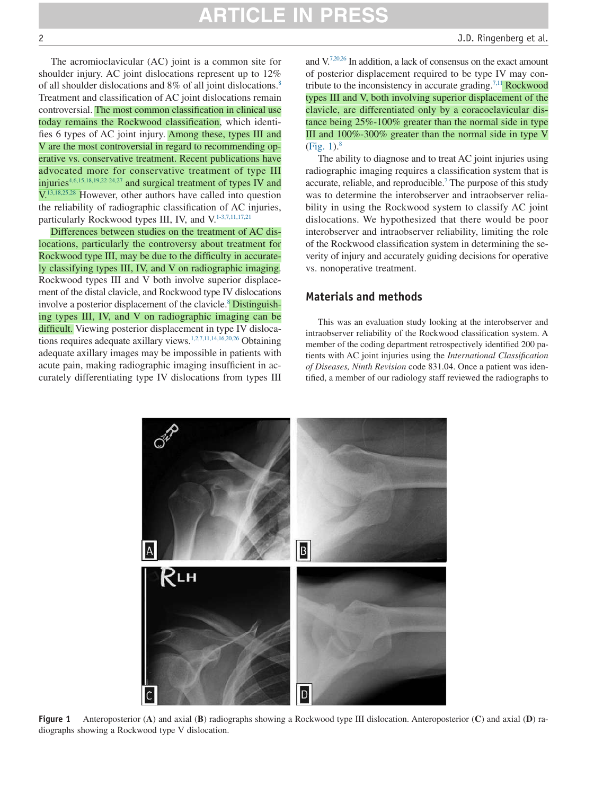# **ARTICLE IN PRE**

The acromioclavicular (AC) joint is a common site for shoulder injury. AC joint dislocations represent up to 12% of all shoulder dislocations and 8% of all joint dislocations.<sup>8</sup> Treatment and classification of AC joint dislocations remain controversial. The most common classification in clinical use today remains the Rockwood classification, which identifies 6 types of AC joint injury. Among these, types III and V are the most controversial in regard to recommending operative vs. conservative treatment. Recent publications have advocated more for conservative treatment of type III injuries<sup>4,6,15,18,19,22-24,27</sup> and surgical treatment of types IV and V.<sup>13,18,25,28</sup> However, other authors have called into question the reliability of radiographic classification of AC injuries, particularly Rockwood types III, IV, and V.<sup>1-3,7,11,17,21</sup>

Differences between studies on the treatment of AC dislocations, particularly the controversy about treatment for Rockwood type III, may be due to the difficulty in accurately classifying types III, IV, and V on radiographic imaging. Rockwood types III and V both involve superior displacement of the distal clavicle, and Rockwood type IV dislocations involve a posterior displacement of the clavicle.<sup>8</sup> Distinguishing types III, IV, and V on radiographic imaging can be difficult. Viewing posterior displacement in type IV dislocations requires adequate axillary views.<sup>1,2,7,11,14,16,20,26</sup> Obtaining adequate axillary images may be impossible in patients with acute pain, making radiographic imaging insufficient in accurately differentiating type IV dislocations from types III

and [V.7,20,26](#page-5-0) In addition, a lack of consensus on the exact amount of posterior displacement required to be type IV may contribute to the inconsistency in accurate grading.<sup>7,11</sup> Rockwood types III and V, both involving superior displacement of the clavicle, are differentiated only by a coracoclavicular distance being 25%-100% greater than the normal side in type III and 100%-300% greater than the normal side in type V (Fig. 1)[.8](#page-5-0)

The ability to diagnose and to treat AC joint injuries using radiographic imaging requires a classification system that is accurate, reliable, and reproducible.<sup>7</sup> The purpose of this study was to determine the interobserver and intraobserver reliability in using the Rockwood system to classify AC joint dislocations. We hypothesized that there would be poor interobserver and intraobserver reliability, limiting the role of the Rockwood classification system in determining the severity of injury and accurately guiding decisions for operative vs. nonoperative treatment.

## **Materials and methods**

This was an evaluation study looking at the interobserver and intraobserver reliability of the Rockwood classification system. A member of the coding department retrospectively identified 200 patients with AC joint injuries using the *International Classification of Diseases, Ninth Revision* code 831.04. Once a patient was identified, a member of our radiology staff reviewed the radiographs to



**Figure 1** Anteroposterior (**A**) and axial (**B**) radiographs showing a Rockwood type III dislocation. Anteroposterior (**C**) and axial (**D**) radiographs showing a Rockwood type V dislocation.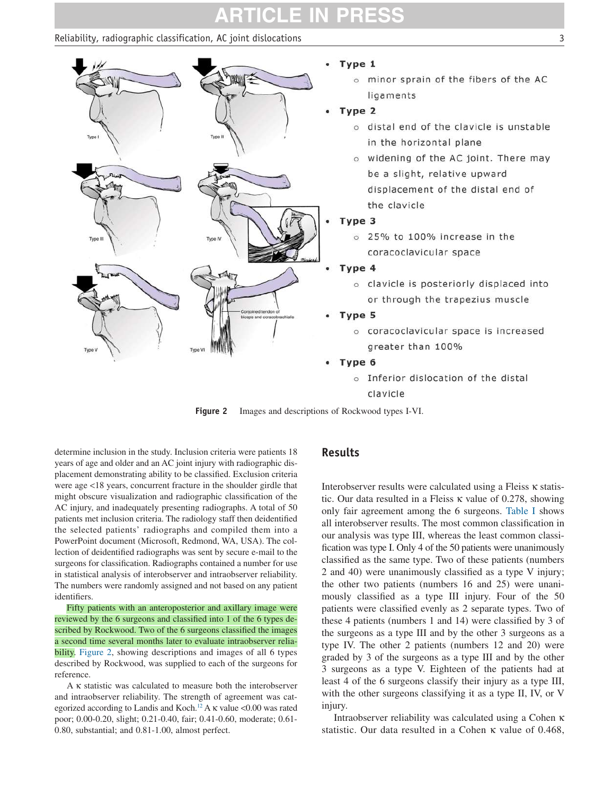## **ARTICLE IN PRESS**

## Reliability, radiographic classification, AC joint dislocations 3



#### Type 1

o minor sprain of the fibers of the AC ligaments

#### Type 2

- distal end of the clavicle is unstable  $\circ$ in the horizontal plane
- o widening of the AC joint. There may be a slight, relative upward displacement of the distal end of the clavicle

#### Type 3

o 25% to 100% increase in the coracoclavicular space

#### Type 4

- o clavicle is posteriorly displaced into or through the trapezius muscle
- Type 5
	- o coracoclavicular space is increased greater than 100%
- Type 6
	- o Inferior dislocation of the distal clavicle

**Figure 2** Images and descriptions of Rockwood types I-VI.

determine inclusion in the study. Inclusion criteria were patients 18 years of age and older and an AC joint injury with radiographic displacement demonstrating ability to be classified. Exclusion criteria were age <18 years, concurrent fracture in the shoulder girdle that might obscure visualization and radiographic classification of the AC injury, and inadequately presenting radiographs. A total of 50 patients met inclusion criteria. The radiology staff then deidentified the selected patients' radiographs and compiled them into a PowerPoint document (Microsoft, Redmond, WA, USA). The collection of deidentified radiographs was sent by secure e-mail to the surgeons for classification. Radiographs contained a number for use in statistical analysis of interobserver and intraobserver reliability. The numbers were randomly assigned and not based on any patient identifiers.

Fifty patients with an anteroposterior and axillary image were reviewed by the 6 surgeons and classified into 1 of the 6 types described by Rockwood. Two of the 6 surgeons classified the images a second time several months later to evaluate intraobserver reliability. Figure 2, showing descriptions and images of all 6 types described by Rockwood, was supplied to each of the surgeons for reference.

A κ statistic was calculated to measure both the interobserver and intraobserver reliability. The strength of agreement was categorized according to Landis and Koch.<sup>12</sup> A κ value <0.00 was rated poor; 0.00-0.20, slight; 0.21-0.40, fair; 0.41-0.60, moderate; 0.61- 0.80, substantial; and 0.81-1.00, almost perfect.

## **Results**

Interobserver results were calculated using a Fleiss κ statistic. Our data resulted in a Fleiss κ value of 0.278, showing only fair agreement among the 6 surgeons. [Table I](#page-3-0) shows all interobserver results. The most common classification in our analysis was type III, whereas the least common classification was type I. Only 4 of the 50 patients were unanimously classified as the same type. Two of these patients (numbers 2 and 40) were unanimously classified as a type V injury; the other two patients (numbers 16 and 25) were unanimously classified as a type III injury. Four of the 50 patients were classified evenly as 2 separate types. Two of these 4 patients (numbers 1 and 14) were classified by 3 of the surgeons as a type III and by the other 3 surgeons as a type IV. The other 2 patients (numbers 12 and 20) were graded by 3 of the surgeons as a type III and by the other 3 surgeons as a type V. Eighteen of the patients had at least 4 of the 6 surgeons classify their injury as a type III, with the other surgeons classifying it as a type II, IV, or V injury.

Intraobserver reliability was calculated using a Cohen κ statistic. Our data resulted in a Cohen κ value of 0.468,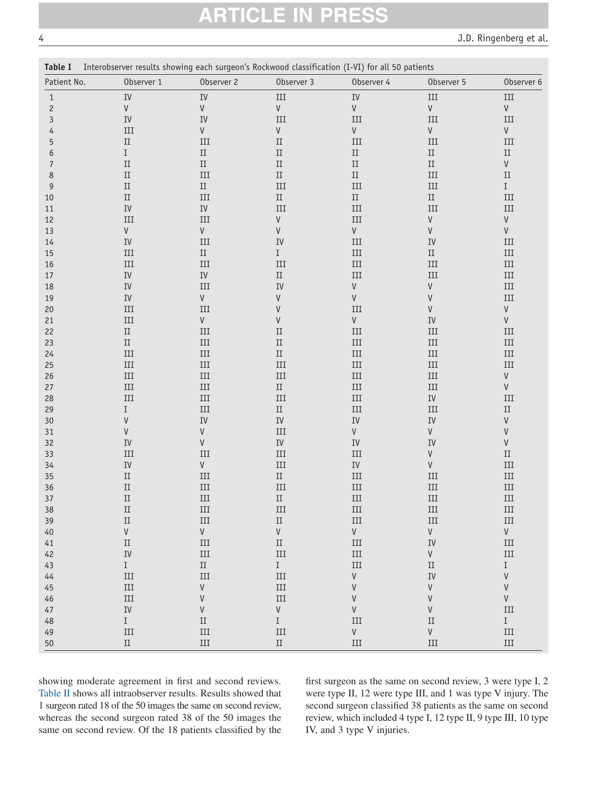<span id="page-3-0"></span>

| Table I      | Interobserver results showing each surgeon's Rockwood classification (I-VI) for all 50 patients |                |                             |                     |                             |                             |  |  |
|--------------|-------------------------------------------------------------------------------------------------|----------------|-----------------------------|---------------------|-----------------------------|-----------------------------|--|--|
| Patient No.  | Observer 1                                                                                      | Observer 2     | Observer 3                  | Observer 4          | Observer 5                  | Observer 6                  |  |  |
| $\mathbf{1}$ | IV                                                                                              | ${\rm IV}$     | $\rm III$                   | ${\rm IV}$          | $\rm III$                   | $\rm III$                   |  |  |
| $\mathbf{2}$ | $\sf V$                                                                                         | V              | ${\sf V}$                   | $\mathsf{V}$        | $\mathsf{V}$                | $\mathsf{V}$                |  |  |
| 3            | IV                                                                                              | IV             | $\rm III$                   | $\rm III$           | $\rm III$                   | $\rm III$                   |  |  |
| 4            | $\rm III$                                                                                       | V              | V                           | $\mathsf{V}$        | V                           | $\mathsf{V}$                |  |  |
| 5            | $\rm II$                                                                                        | $\rm III$      | $\rm II$                    | $\rm III$           | $\rm III$                   | $\rm III$                   |  |  |
| 6            | $\rm I$                                                                                         | $\rm II$       | $\rm II$                    | $\rm II$            | $\rm II$                    | $\rm II$                    |  |  |
| 7            | $\rm II$                                                                                        | $\rm II$       | $\rm II$                    | $\rm II$            | $\rm II$                    | ${\sf V}$                   |  |  |
| 8            | $\rm II$                                                                                        | $\rm III$      | $\rm II$                    | $\rm II$            | $\rm III$                   | $\rm II$                    |  |  |
| 9            | $\rm II$                                                                                        | $\rm II$       | $\rm III$                   | $\rm III$           | $\rm III$                   | $\rm I$                     |  |  |
| 10           | $\rm II$                                                                                        | $\rm III$      | $\rm II$                    | $\rm II$            | $\rm II$                    | $\rm III$                   |  |  |
| 11           | IV                                                                                              | ${\rm IV}$     | $\rm III$                   | $\rm III$           | $\rm III$                   | $\rm III$                   |  |  |
| 12           | $\rm III$                                                                                       | $\rm III$      | V                           | $\rm III$           | V                           | ${\sf V}$                   |  |  |
| 13           | $\sf V$                                                                                         | $\sf V$        | ${\sf V}$                   | $\mathsf{V}$        | $\sf V$                     | $\mathsf{V}$                |  |  |
| 14           | IV                                                                                              | $\rm III$      | IV                          | $\rm III$           | IV                          | $\rm III$                   |  |  |
| 15           | $\rm III$                                                                                       | $\rm II$       | $\mathbf I$                 | $\rm III$           | $\rm II$                    | $\rm III$                   |  |  |
| 16           | $\rm III$                                                                                       | $\rm III$      | $\rm III$                   | $\rm III$           | $\rm III$                   | $\rm III$                   |  |  |
| 17           | ${\rm IV}$                                                                                      | ${\rm IV}$     | $\rm II$                    | $\rm III$           | $\rm III$                   | $\rm III$                   |  |  |
| 18           | ${\rm IV}$                                                                                      | $\rm III$      | IV                          | $\sf V$             | V                           | $\rm III$                   |  |  |
| 19           | ${\rm IV}$                                                                                      | $\sf V$        | V                           | V                   | V                           | $\rm III$                   |  |  |
| $20\,$       | $\rm III$                                                                                       | $\rm III$      | V                           | $\rm III$           | $\mathsf{V}$                | $\sf V$                     |  |  |
| 21           | $\rm III$                                                                                       | V              | V                           | $\mathsf{V}$        | IV                          | $\mathsf{V}$                |  |  |
| 22           | $\rm II$                                                                                        | $\rm III$      | $\rm II$                    | $\rm III$           | $\rm III$                   | $\rm III$                   |  |  |
| 23           | $\rm II$                                                                                        | $\rm III$      | $\rm II$                    | $\rm III$           | $\rm III$                   | $\rm III$                   |  |  |
| 24           | $\rm III$                                                                                       | $\rm III$      | $\rm II$                    | $\rm III$           | $\mathop{\rm III}\nolimits$ | $\rm III$                   |  |  |
| 25           | $\rm III$                                                                                       | $\rm III$      | $\rm III$                   | $\rm III$           | $\rm III$                   | $\rm III$                   |  |  |
| 26           | $\rm III$                                                                                       | $\rm III$      | $\rm III$                   | $\rm III$           | $\rm III$                   | $\sf V$                     |  |  |
| 27           | $\rm III$                                                                                       | $\rm III$      | $\rm II$                    | $\rm III$           | $\rm III$                   | $\mathsf{V}$                |  |  |
| 28           | $\rm III$                                                                                       | $\rm III$      | $\rm III$                   | $\rm III$           | ${\rm IV}$                  | $\rm III$                   |  |  |
| 29           | $\bf I$                                                                                         | $\rm III$      | $\rm II$                    | $\rm III$           | $\rm III$                   | $\rm II$                    |  |  |
| $30$         | V                                                                                               | IV             | ${\rm IV}$                  | IV                  | IV                          | V                           |  |  |
| 31           | V                                                                                               | V              | $\rm III$                   | $\sf V$             | V                           | V                           |  |  |
| 32           | IV                                                                                              | V              | ${\rm IV}$                  | IV                  | IV                          | $\mathsf{V}$                |  |  |
| 33           | $\rm III$                                                                                       | III            | $\rm III$                   | $\rm III$           | V                           | $\rm II$                    |  |  |
| 34           | ${\rm IV}$                                                                                      | $\sf V$        | $\rm III$                   | ${\rm IV}$          | $\sf V$                     | $\rm III$                   |  |  |
| 35           | $\rm II$                                                                                        | $\rm III$      | $\rm II$                    | $\rm III$           | $\rm III$                   | $\rm III$                   |  |  |
| 36           | $\rm II$                                                                                        | $\rm III$      | $\rm III$                   | $\rm III$           | $\rm III$                   | $\rm III$                   |  |  |
| 37           | $\rm II$                                                                                        | $\rm III$      | $\rm II$                    | $\rm III$           | $\rm III$                   | $\rm III$                   |  |  |
|              | $\rm II$                                                                                        | $\rm III$      | $\rm III$                   | $\rm III$           | $\rm III$                   | $\rm III$                   |  |  |
| 38           |                                                                                                 |                |                             |                     |                             |                             |  |  |
| 39           | $_{\rm II}$<br>$\sf V$                                                                          | III<br>$\sf V$ | $_{\rm II}$<br>$\sf V$      | III<br>$\mathsf{V}$ | III<br>$\sf V$              | III<br>${\sf V}$            |  |  |
| $40\,$       |                                                                                                 |                |                             |                     |                             |                             |  |  |
| $41\,$       | $\rm II$                                                                                        | $\rm III$      | $\rm II$                    | $\rm III$           | IV                          | $\rm III$                   |  |  |
| $42$         | IV                                                                                              | $\rm III$      | $\mathop{\rm III}\nolimits$ | $\rm III$           | $\sf V$                     | $\rm III$                   |  |  |
| 43           | $\rm I$                                                                                         | $\rm II$       | $\rm I$                     | $\rm III$           | $\rm II$                    | $\rm I$                     |  |  |
| 44           | $\rm III$                                                                                       | $\rm III$      | $\mathop{\rm III}\nolimits$ | V                   | IV                          | V                           |  |  |
| 45           | $\rm III$                                                                                       | V              | $\mathop{\rm III}\nolimits$ | ۷                   | V                           | V                           |  |  |
| 46           | $\rm III$                                                                                       | V              | $\rm III$                   | ۷                   | V                           | V                           |  |  |
| $47\,$       | ${\rm IV}$                                                                                      | V              | ${\sf V}$                   | V                   | $\sf V$                     | $\rm III$                   |  |  |
| 48           | $\rm I$                                                                                         | $\rm II$       | $\rm I$                     | III                 | $\mathbf{I}$                | $\rm I$                     |  |  |
| $49$         | $\rm III$                                                                                       | $\rm III$      | $\rm III$                   | $\sf V$             | V                           | $\mathop{\rm III}\nolimits$ |  |  |
| 50           | $\rm II$                                                                                        | $\rm III$      | $\rm II$                    | $\rm III$           | $\rm III$                   | $\rm III$                   |  |  |

showing moderate agreement in first and second reviews. [Table II](#page-4-0) shows all intraobserver results. Results showed that 1 surgeon rated 18 of the 50 images the same on second review, whereas the second surgeon rated 38 of the 50 images the same on second review. Of the 18 patients classified by the

first surgeon as the same on second review, 3 were type I, 2 were type II, 12 were type III, and 1 was type V injury. The second surgeon classified 38 patients as the same on second review, which included 4 type I, 12 type II, 9 type III, 10 type IV, and 3 type V injuries.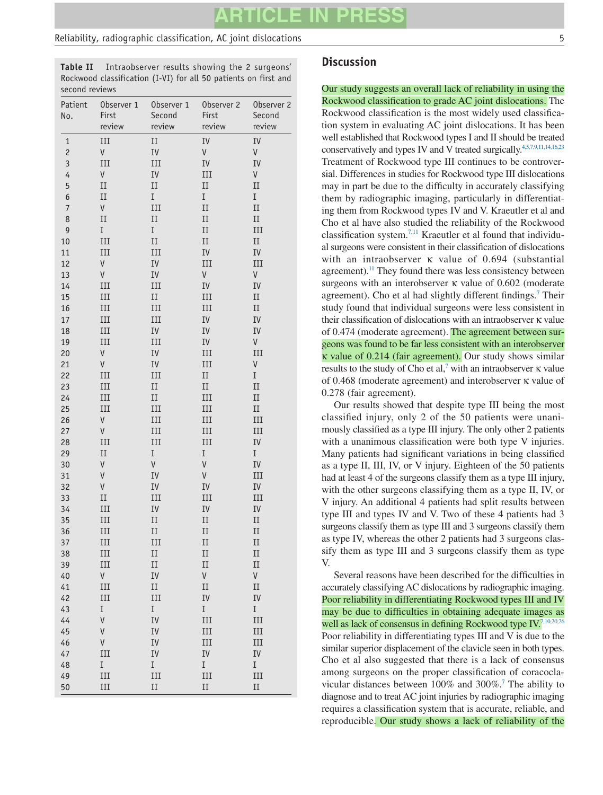#### <span id="page-4-0"></span>Reliability, radiographic classification, AC joint dislocations  $5$

**Table II** Intraobserver results showing the 2 surgeons' Rockwood classification (I-VI) for all 50 patients on first and second reviews

| Patient<br>No. | Observer 1<br>First<br>review | Observer 1<br>Second<br>review | Observer 2<br>First<br>review | Observer 2<br>Second<br>review |
|----------------|-------------------------------|--------------------------------|-------------------------------|--------------------------------|
| 1              | III                           | II                             | IV                            | IV                             |
| $\overline{c}$ | $\mathsf{V}$                  | IV                             | V                             | V                              |
| 3              | III                           | III                            | IV                            | IV                             |
| 4              | V                             | IV                             | III                           | V                              |
| 5              | $\mathbf{I}$                  | $\rm II$                       | $\mathbf{I}$                  | $\rm II$                       |
| 6              | $\mathbf{I}$                  | I                              | I                             | I                              |
| $\overline{7}$ | V                             | III                            | $\mathbf{I}$                  | $\rm II$                       |
| 8              | $\mathbf{I}$                  | $\rm II$                       | $\mathbf{I}$                  | $\rm II$                       |
| 9              | I                             | I                              | $\rm II$                      | III                            |
| 10             | III                           | $\rm II$                       | II                            | $\rm II$                       |
| 11             | III                           | III                            | IV                            | IV                             |
| 12             | V                             | IV                             | III                           | III                            |
| 13             | V                             | IV                             | V                             | V                              |
| 14             | III                           | III                            | IV                            | IV                             |
| 15             | III                           | $\rm II$                       | III                           | $\rm II$                       |
| 16             | III                           | III                            | III                           | $\rm II$                       |
| 17             | III                           | III                            | IV                            | IV                             |
| 18             | III                           | IV                             | IV                            | IV                             |
| 19             | III                           | III                            | IV                            | V                              |
| 20             | V                             | IV                             | III                           | III                            |
| 21             | V                             | IV                             | III                           | V                              |
| 22             | III                           | $\rm III$                      | $\rm II$                      | I                              |
| 23             | III                           | $\rm II$                       | $\rm II$                      | $\rm II$                       |
| 24             | III                           | $\mathbf{I}$                   | III                           | $\rm II$                       |
| 25             | III                           | III                            | III                           | $\rm II$                       |
| 26             | V                             | III                            | III                           | III                            |
| 27             | V                             | III                            | III                           | III                            |
| 28             | III                           | III<br>$\rm I$                 | III<br>I                      | IV<br>I                        |
| 29<br>30       | $\mathbf{I}$<br>V             | V                              | V                             | IV                             |
| 31             | V                             | IV                             | V                             | III                            |
| 32             | V                             | IV                             | IV                            | IV                             |
| 33             | $\rm II$                      | III                            | III                           | III                            |
| 34             | III                           | IV                             | IV                            | IV                             |
| 35             | III                           | $\rm II$                       | $\rm II$                      | $\rm II$                       |
| 36             | III                           | $\mathbf{I}$                   | $\mathbf{I}$                  | $\rm II$                       |
| 37             | III                           | III                            | $\mathbf{I}$                  | $\rm II$                       |
| 38             | $\rm III$                     | $\rm II$                       | $\rm II$                      | $\rm II$                       |
| 39             | III                           | $\mathbf{I}$                   | $\mathbf{I}$                  | $\rm II$                       |
| 40             | V                             | IV                             | V                             | V                              |
| 41             | III                           | $_{\rm II}$                    | $\rm II$                      | $\rm II$                       |
| 42             | III                           | III                            | IV                            | IV                             |
| 43             | I                             | I                              | I                             | I                              |
| 44             | V                             | IV                             | III                           | III                            |
| 45             | V                             | IV                             | III                           | III                            |
| 46             | V                             | IV                             | III                           | III                            |
| 47             | III                           | IV                             | IV                            | IV                             |
| 48             | I                             | I                              | I                             | I                              |
| 49             | III                           | III                            | III                           | III                            |
| 50             | III                           | $\mathbf{II}$                  | $\mathbf{II}$                 | $\rm II$                       |

### **Discussion**

Our study suggests an overall lack of reliability in using the Rockwood classification to grade AC joint dislocations. The Rockwood classification is the most widely used classification system in evaluating AC joint dislocations. It has been well established that Rockwood types I and II should be treated conservatively and types IV and V treated surgically[.4,5,7,9,11,14,16,23](#page-5-0) Treatment of Rockwood type III continues to be controversial. Differences in studies for Rockwood type III dislocations may in part be due to the difficulty in accurately classifying them by radiographic imaging, particularly in differentiating them from Rockwood types IV and V. Kraeutler et al and Cho et al have also studied the reliability of the Rockwood classification system.<sup>7,11</sup> Kraeutler et al found that individual surgeons were consistent in their classification of dislocations with an intraobserver κ value of 0.694 (substantial agreement).<sup>11</sup> They found there was less consistency between surgeons with an interobserver κ value of 0.602 (moderate agreement). Cho et al had slightly different findings.<sup>7</sup> Their study found that individual surgeons were less consistent in their classification of dislocations with an intraobserver κ value of 0.474 (moderate agreement). The agreement between surgeons was found to be far less consistent with an interobserver κ value of 0.214 (fair agreement). Our study shows similar results to the study of Cho et al,<sup>7</sup> with an intraobserver  $\kappa$  value of 0.468 (moderate agreement) and interobserver κ value of 0.278 (fair agreement).

Our results showed that despite type III being the most classified injury, only 2 of the 50 patients were unanimously classified as a type III injury. The only other 2 patients with a unanimous classification were both type V injuries. Many patients had significant variations in being classified as a type II, III, IV, or V injury. Eighteen of the 50 patients had at least 4 of the surgeons classify them as a type III injury, with the other surgeons classifying them as a type II, IV, or V injury. An additional 4 patients had split results between type III and types IV and V. Two of these 4 patients had 3 surgeons classify them as type III and 3 surgeons classify them as type IV, whereas the other 2 patients had 3 surgeons classify them as type III and 3 surgeons classify them as type V.

Several reasons have been described for the difficulties in accurately classifying AC dislocations by radiographic imaging. Poor reliability in differentiating Rockwood types III and IV may be due to difficulties in obtaining adequate images as well as lack of consensus in defining Rockwood type IV.<sup>7,10,20,26</sup> Poor reliability in differentiating types III and V is due to the similar superior displacement of the clavicle seen in both types. Cho et al also suggested that there is a lack of consensus among surgeons on the proper classification of coracoclavicular distances between  $100\%$  and  $300\%$ .<sup>7</sup> The ability to diagnose and to treat AC joint injuries by radiographic imaging requires a classification system that is accurate, reliable, and reproducible. Our study shows a lack of reliability of the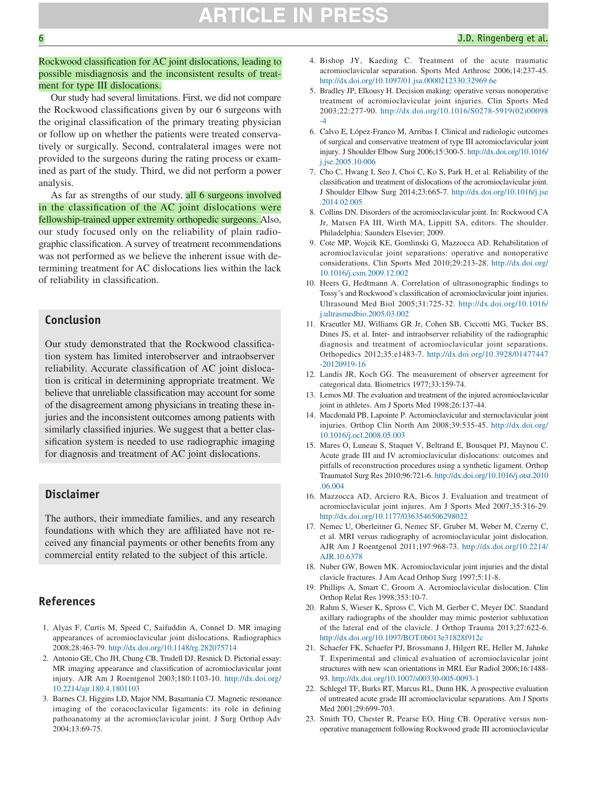# **ARTICLE IN PRESS**

### <span id="page-5-0"></span>Rockwood classification for AC joint dislocations, leading to possible misdiagnosis and the inconsistent results of treatment for type III dislocations.

Our study had several limitations. First, we did not compare the Rockwood classifications given by our 6 surgeons with the original classification of the primary treating physician or follow up on whether the patients were treated conservatively or surgically. Second, contralateral images were not provided to the surgeons during the rating process or examined as part of the study. Third, we did not perform a power analysis.

As far as strengths of our study, all 6 surgeons involved in the classification of the AC joint dislocations were fellowship-trained upper extremity orthopedic surgeons. Also, our study focused only on the reliability of plain radiographic classification. A survey of treatment recommendations was not performed as we believe the inherent issue with determining treatment for AC dislocations lies within the lack of reliability in classification.

## **Conclusion**

Our study demonstrated that the Rockwood classification system has limited interobserver and intraobserver reliability. Accurate classification of AC joint dislocation is critical in determining appropriate treatment. We believe that unreliable classification may account for some of the disagreement among physicians in treating these injuries and the inconsistent outcomes among patients with similarly classified injuries. We suggest that a better classification system is needed to use radiographic imaging for diagnosis and treatment of AC joint dislocations.

## **Disclaimer**

The authors, their immediate families, and any research foundations with which they are affiliated have not received any financial payments or other benefits from any commercial entity related to the subject of this article.

### **References**

- 1. [Alyas F, Curtis M, Speed C, Saifuddin A, Connel D. MR imaging](http://refhub.elsevier.com/S1058-2746(17)30600-6/sr0010) [appearances of acromioclavicular joint dislocations. Radiographics](http://refhub.elsevier.com/S1058-2746(17)30600-6/sr0010) 2008;28:463-79. <http://dx.doi.org/10.1148/rg.282075714>
- 2. [Antonio GE, Cho JH, Chung CB, Trudell DJ, Resnick D. Pictorial essay:](http://refhub.elsevier.com/S1058-2746(17)30600-6/sr0015) [MR imaging appearance and classification of acromioclavicular joint](http://refhub.elsevier.com/S1058-2746(17)30600-6/sr0015) injury. AJR Am J Roentgenol 2003;180:1103-10. [http://dx.doi.org/](http://dx.doi.org/10.2214/ajr.180.4.1801103) [10.2214/ajr.180.4.1801103](http://dx.doi.org/10.2214/ajr.180.4.1801103)
- 3. [Barnes CJ, Higgins LD, Major NM, Basamania CJ. Magnetic resonance](http://refhub.elsevier.com/S1058-2746(17)30600-6/sr0020) [imaging of the coracoclavicular ligaments: its role in defining](http://refhub.elsevier.com/S1058-2746(17)30600-6/sr0020) [pathoanatomy at the acromioclavicular joint. J Surg Orthop Adv](http://refhub.elsevier.com/S1058-2746(17)30600-6/sr0020) [2004;13:69-75.](http://refhub.elsevier.com/S1058-2746(17)30600-6/sr0020)
- 4. [Bishop JY, Kaeding C. Treatment of the acute traumatic](http://refhub.elsevier.com/S1058-2746(17)30600-6/sr0025) [acromioclavicular separation. Sports Med Arthrosc 2006;14:237-45.](http://refhub.elsevier.com/S1058-2746(17)30600-6/sr0025) <http://dx.doi.org/10.1097/01.jsa.0000212330.32969.6e>
- 5. [Bradley JP, Elkousy H. Decision making: operative versus nonoperative](http://refhub.elsevier.com/S1058-2746(17)30600-6/sr0030) [treatment of acromioclavicular joint injuries. Clin Sports Med](http://refhub.elsevier.com/S1058-2746(17)30600-6/sr0030) 2003;22:277-90. [http://dx.doi.org/10.1016/S0278-5919\(02\)00098](http://dx.doi.org/10.1016/S0278-5919(02)00098-4) [-4](http://dx.doi.org/10.1016/S0278-5919(02)00098-4)
- 6. [Calvo E, López-Franco M, Arribas I. Clinical and radiologic outcomes](http://refhub.elsevier.com/S1058-2746(17)30600-6/sr0035) [of surgical and conservative treatment of type III acromioclavicular joint](http://refhub.elsevier.com/S1058-2746(17)30600-6/sr0035) injury. J Shoulder Elbow Surg 2006;15:300-5. [http://dx.doi.org/10.1016/](http://dx.doi.org/10.1016/j.jse.2005.10.006) [j.jse.2005.10.006](http://dx.doi.org/10.1016/j.jse.2005.10.006)
- 7. [Cho C, Hwang I, Seo J, Choi C, Ko S, Park H, et al. Reliability of the](http://refhub.elsevier.com/S1058-2746(17)30600-6/sr0040) [classification and treatment of dislocations of the acromioclavicular joint.](http://refhub.elsevier.com/S1058-2746(17)30600-6/sr0040) J Shoulder Elbow Surg 2014;23:665-7. [http://dx.doi.org/10.1016/j.jse](http://dx.doi.org/10.1016/j.jse.2014.02.005) [.2014.02.005](http://dx.doi.org/10.1016/j.jse.2014.02.005)
- 8. [Collins DN. Disorders of the acromioclavicular joint. In: Rockwood CA](http://refhub.elsevier.com/S1058-2746(17)30600-6/sr0045) [Jr, Matsen FA III, Wirth MA, Lippitt SA, editors. The shoulder.](http://refhub.elsevier.com/S1058-2746(17)30600-6/sr0045) [Philadelphia: Saunders Elsevier; 2009.](http://refhub.elsevier.com/S1058-2746(17)30600-6/sr0045)
- 9. [Cote MP, Wojcik KE, Gomlinski G, Mazzocca AD. Rehabilitation of](http://refhub.elsevier.com/S1058-2746(17)30600-6/sr0050) [acromioclavicular joint separations: operative and nonoperative](http://refhub.elsevier.com/S1058-2746(17)30600-6/sr0050) considerations. Clin Sports Med 2010;29:213-28. [http://dx.doi.org/](http://dx.doi.org/10.1016/j.csm.2009.12.002) [10.1016/j.csm.2009.12.002](http://dx.doi.org/10.1016/j.csm.2009.12.002)
- 10. [Heers G, Hedtmann A. Correlation of ultrasonographic findings to](http://refhub.elsevier.com/S1058-2746(17)30600-6/sr0055) [Tossy's and Rockwood's classification of acromioclavicular joint injuries.](http://refhub.elsevier.com/S1058-2746(17)30600-6/sr0055) Ultrasound Med Biol 2005;31:725-32. [http://dx.doi.org/10.1016/](http://dx.doi.org/10.1016/j.ultrasmedbio.2005.03.002) [j.ultrasmedbio.2005.03.002](http://dx.doi.org/10.1016/j.ultrasmedbio.2005.03.002)
- 11. [Kraeutler MJ, Williams GR Jr, Cohen SB, Ciccotti MG, Tucker BS,](http://refhub.elsevier.com/S1058-2746(17)30600-6/sr0060) [Dines JS, et al. Inter- and intraobserver reliability of the radiographic](http://refhub.elsevier.com/S1058-2746(17)30600-6/sr0060) [diagnosis and treatment of acromioclavicular joint separations.](http://refhub.elsevier.com/S1058-2746(17)30600-6/sr0060) Orthopedics 2012;35:e1483-7. [http://dx.doi.org/10.3928/01477447](http://dx.doi.org/10.3928/01477447-20120919-16) [-20120919-16](http://dx.doi.org/10.3928/01477447-20120919-16)
- 12. [Landis JR, Koch GG. The measurement of observer agreement for](http://refhub.elsevier.com/S1058-2746(17)30600-6/sr0065) [categorical data. Biometrics 1977;33:159-74.](http://refhub.elsevier.com/S1058-2746(17)30600-6/sr0065)
- 13. [Lemos MJ. The evaluation and treatment of the injured acromioclavicular](http://refhub.elsevier.com/S1058-2746(17)30600-6/sr0070) [joint in athletes. Am J Sports Med 1998;26:137-44.](http://refhub.elsevier.com/S1058-2746(17)30600-6/sr0070)
- 14. [Macdonald PB, Lapointe P. Acromioclavicular and sternoclavicular joint](http://refhub.elsevier.com/S1058-2746(17)30600-6/sr0075) injuries. Orthop Clin North Am 2008;39:535-45. [http://dx.doi.org/](http://dx.doi.org/10.1016/j.ocl.2008.05.003) [10.1016/j.ocl.2008.05.003](http://dx.doi.org/10.1016/j.ocl.2008.05.003)
- 15. [Mares O, Luneau S, Staquet V, Beltrand E, Bousquet PJ, Maynou C.](http://refhub.elsevier.com/S1058-2746(17)30600-6/sr0080) [Acute grade III and IV acromioclavicular dislocations: outcomes and](http://refhub.elsevier.com/S1058-2746(17)30600-6/sr0080) [pitfalls of reconstruction procedures using a synthetic ligament. Orthop](http://refhub.elsevier.com/S1058-2746(17)30600-6/sr0080) Traumatol Surg Res 2010;96:721-6. [http://dx.doi.org/10.1016/j.otsr.2010](http://dx.doi.org/10.1016/j.otsr.2010.06.004) [.06.004](http://dx.doi.org/10.1016/j.otsr.2010.06.004)
- 16. [Mazzocca AD, Arciero RA, Bicos J. Evaluation and treatment of](http://refhub.elsevier.com/S1058-2746(17)30600-6/sr0085) [acromioclavicular joint injures. Am J Sports Med 2007;35:316-29.](http://refhub.elsevier.com/S1058-2746(17)30600-6/sr0085) <http://dx.doi.org/10.1177/0363546506298022>
- 17. [Nemec U, Oberleitner G, Nemec SF, Gruber M, Weber M, Czerny C,](http://refhub.elsevier.com/S1058-2746(17)30600-6/sr0090) [et al. MRI versus radiography of acromioclavicular joint dislocation.](http://refhub.elsevier.com/S1058-2746(17)30600-6/sr0090) AJR Am J Roentgenol 2011;197:968-73. [http://dx.doi.org/10.2214/](http://dx.doi.org/10.2214/AJR.10.6378) [AJR.10.6378](http://dx.doi.org/10.2214/AJR.10.6378)
- 18. [Nuber GW, Bowen MK. Acromioclavicular joint injuries and the distal](http://refhub.elsevier.com/S1058-2746(17)30600-6/sr0095) [clavicle fractures. J Am Acad Orthop Surg 1997;5:11-8.](http://refhub.elsevier.com/S1058-2746(17)30600-6/sr0095)
- 19. [Phillips A, Smart C, Groom A. Acromioclavicular dislocation. Clin](http://refhub.elsevier.com/S1058-2746(17)30600-6/sr0100) [Orthop Relat Res 1998;353:10-7.](http://refhub.elsevier.com/S1058-2746(17)30600-6/sr0100)
- 20. [Rahm S, Wieser K, Spross C, Vich M, Gerber C, Meyer DC. Standard](http://refhub.elsevier.com/S1058-2746(17)30600-6/sr0105) [axillary radiographs of the shoulder may mimic posterior subluxation](http://refhub.elsevier.com/S1058-2746(17)30600-6/sr0105) [of the lateral end of the clavicle. J Orthop Trauma 2013;27:622-6.](http://refhub.elsevier.com/S1058-2746(17)30600-6/sr0105) <http://dx.doi.org/10.1097/BOT.0b013e31828f912c>
- 21. [Schaefer FK, Schaefer PJ, Brossmann J, Hilgert RE, Heller M, Jahnke](http://refhub.elsevier.com/S1058-2746(17)30600-6/sr0110) [T. Experimental and clinical evaluation of acromioclavicular joint](http://refhub.elsevier.com/S1058-2746(17)30600-6/sr0110) [structures with new scan orientations in MRI. Eur Radiol 2006;16:1488-](http://refhub.elsevier.com/S1058-2746(17)30600-6/sr0110) 93. <http://dx.doi.org/10.1007/s00330-005-0093-1>
- 22. [Schlegel TF, Burks RT, Marcus RL, Dunn HK. A prospective evaluation](http://refhub.elsevier.com/S1058-2746(17)30600-6/sr0115) [of untreated acute grade III acromioclavicular separations. Am J Sports](http://refhub.elsevier.com/S1058-2746(17)30600-6/sr0115) [Med 2001;29:699-703.](http://refhub.elsevier.com/S1058-2746(17)30600-6/sr0115)
- 23. [Smith TO, Chester R, Pearse EO, Hing CB. Operative versus non](http://refhub.elsevier.com/S1058-2746(17)30600-6/sr0120)[operative management following Rockwood grade III acromioclavicular](http://refhub.elsevier.com/S1058-2746(17)30600-6/sr0120)